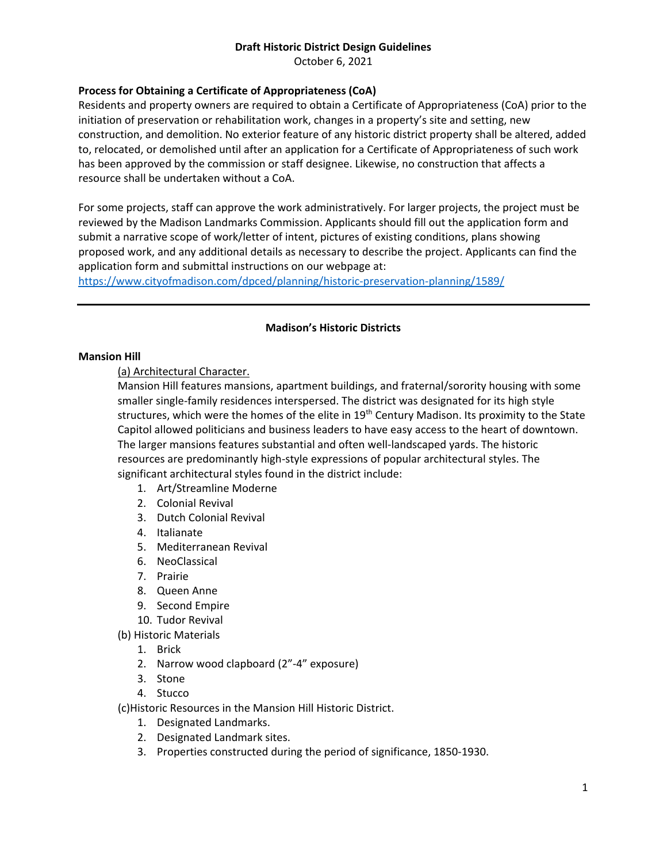October 6, 2021

## **Process for Obtaining a Certificate of Appropriateness (CoA)**

Residents and property owners are required to obtain a Certificate of Appropriateness (CoA) prior to the initiation of preservation or rehabilitation work, changes in a property's site and setting, new construction, and demolition. No exterior feature of any historic district property shall be altered, added to, relocated, or demolished until after an application for a Certificate of Appropriateness of such work has been approved by the commission or staff designee. Likewise, no construction that affects a resource shall be undertaken without a CoA.

For some projects, staff can approve the work administratively. For larger projects, the project must be reviewed by the Madison Landmarks Commission. Applicants should fill out the application form and submit a narrative scope of work/letter of intent, pictures of existing conditions, plans showing proposed work, and any additional details as necessary to describe the project. Applicants can find the application form and submittal instructions on our webpage at:

<https://www.cityofmadison.com/dpced/planning/historic-preservation-planning/1589/>

## **Madison's Historic Districts**

#### **Mansion Hill**

(a) Architectural Character.

Mansion Hill features mansions, apartment buildings, and fraternal/sorority housing with some smaller single-family residences interspersed. The district was designated for its high style structures, which were the homes of the elite in 19<sup>th</sup> Century Madison. Its proximity to the State Capitol allowed politicians and business leaders to have easy access to the heart of downtown. The larger mansions features substantial and often well-landscaped yards. The historic resources are predominantly high-style expressions of popular architectural styles. The significant architectural styles found in the district include:

- 1. Art/Streamline Moderne
- 2. Colonial Revival
- 3. Dutch Colonial Revival
- 4. Italianate
- 5. Mediterranean Revival
- 6. NeoClassical
- 7. Prairie
- 8. Queen Anne
- 9. Second Empire
- 10. Tudor Revival
- (b) Historic Materials
	- 1. Brick
	- 2. Narrow wood clapboard (2"-4" exposure)
	- 3. Stone
	- 4. Stucco

(c)Historic Resources in the Mansion Hill Historic District.

- 1. Designated Landmarks.
- 2. Designated Landmark sites.
- 3. Properties constructed during the period of significance, 1850-1930.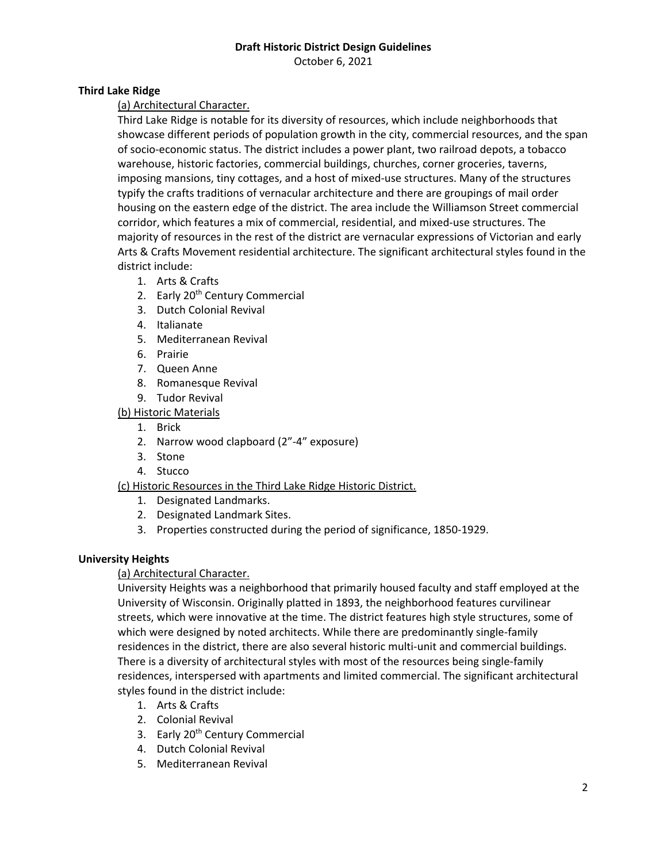October 6, 2021

## **Third Lake Ridge**

## (a) Architectural Character.

Third Lake Ridge is notable for its diversity of resources, which include neighborhoods that showcase different periods of population growth in the city, commercial resources, and the span of socio-economic status. The district includes a power plant, two railroad depots, a tobacco warehouse, historic factories, commercial buildings, churches, corner groceries, taverns, imposing mansions, tiny cottages, and a host of mixed-use structures. Many of the structures typify the crafts traditions of vernacular architecture and there are groupings of mail order housing on the eastern edge of the district. The area include the Williamson Street commercial corridor, which features a mix of commercial, residential, and mixed-use structures. The majority of resources in the rest of the district are vernacular expressions of Victorian and early Arts & Crafts Movement residential architecture. The significant architectural styles found in the district include:

- 1. Arts & Crafts
- 2. Early 20<sup>th</sup> Century Commercial
- 3. Dutch Colonial Revival
- 4. Italianate
- 5. Mediterranean Revival
- 6. Prairie
- 7. Queen Anne
- 8. Romanesque Revival
- 9. Tudor Revival
- (b) Historic Materials
	- 1. Brick
	- 2. Narrow wood clapboard (2"-4" exposure)
	- 3. Stone
	- 4. Stucco

# (c) Historic Resources in the Third Lake Ridge Historic District.

- 1. Designated Landmarks.
- 2. Designated Landmark Sites.
- 3. Properties constructed during the period of significance, 1850-1929.

## **University Heights**

## (a) Architectural Character.

University Heights was a neighborhood that primarily housed faculty and staff employed at the University of Wisconsin. Originally platted in 1893, the neighborhood features curvilinear streets, which were innovative at the time. The district features high style structures, some of which were designed by noted architects. While there are predominantly single-family residences in the district, there are also several historic multi-unit and commercial buildings. There is a diversity of architectural styles with most of the resources being single-family residences, interspersed with apartments and limited commercial. The significant architectural styles found in the district include:

- 1. Arts & Crafts
- 2. Colonial Revival
- 3. Early 20<sup>th</sup> Century Commercial
- 4. Dutch Colonial Revival
- 5. Mediterranean Revival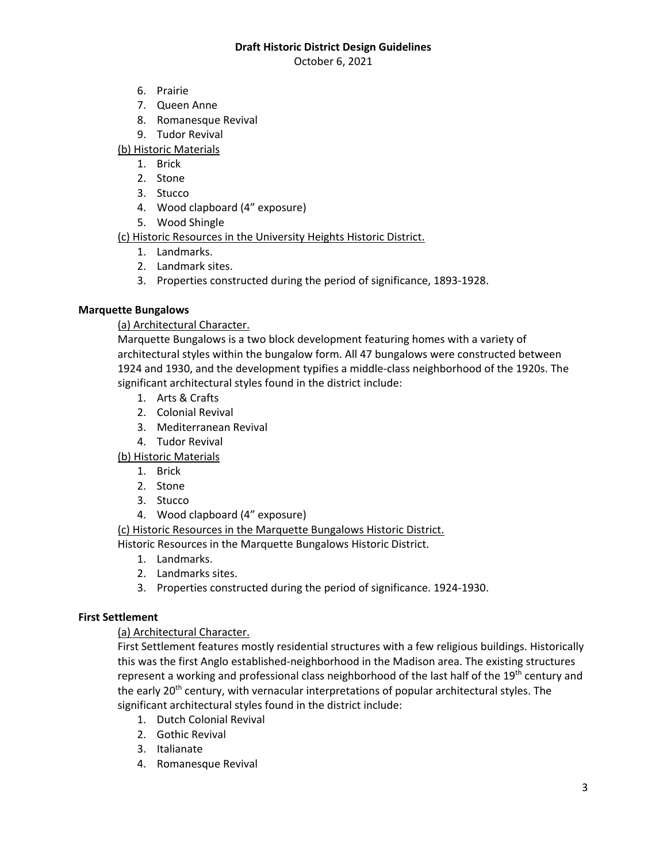October 6, 2021

- 6. Prairie
- 7. Queen Anne
- 8. Romanesque Revival
- 9. Tudor Revival

(b) Historic Materials

- 1. Brick
- 2. Stone
- 3. Stucco
- 4. Wood clapboard (4" exposure)
- 5. Wood Shingle

(c) Historic Resources in the University Heights Historic District.

- 1. Landmarks.
- 2. Landmark sites.
- 3. Properties constructed during the period of significance, 1893-1928.

## **Marquette Bungalows**

## (a) Architectural Character.

Marquette Bungalows is a two block development featuring homes with a variety of architectural styles within the bungalow form. All 47 bungalows were constructed between 1924 and 1930, and the development typifies a middle-class neighborhood of the 1920s. The significant architectural styles found in the district include:

- 1. Arts & Crafts
- 2. Colonial Revival
- 3. Mediterranean Revival
- 4. Tudor Revival

(b) Historic Materials

- 1. Brick
- 2. Stone
- 3. Stucco
- 4. Wood clapboard (4" exposure)

(c) Historic Resources in the Marquette Bungalows Historic District.

Historic Resources in the Marquette Bungalows Historic District.

- 1. Landmarks.
- 2. Landmarks sites.
- 3. Properties constructed during the period of significance. 1924-1930.

## **First Settlement**

# (a) Architectural Character.

First Settlement features mostly residential structures with a few religious buildings. Historically this was the first Anglo established-neighborhood in the Madison area. The existing structures represent a working and professional class neighborhood of the last half of the 19<sup>th</sup> century and the early 20<sup>th</sup> century, with vernacular interpretations of popular architectural styles. The significant architectural styles found in the district include:

- 1. Dutch Colonial Revival
- 2. Gothic Revival
- 3. Italianate
- 4. Romanesque Revival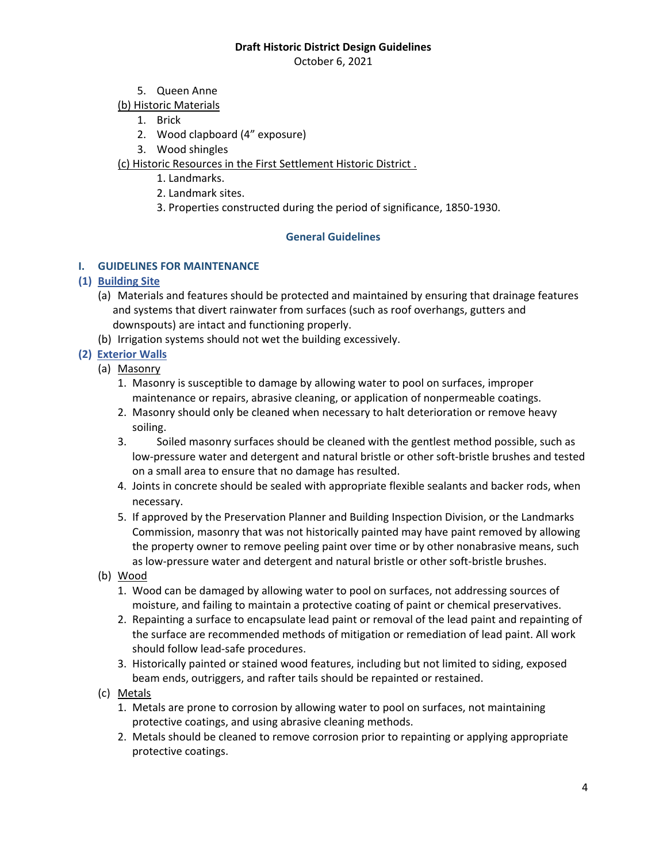October 6, 2021

- 5. Queen Anne
- (b) Historic Materials
	- 1. Brick
	- 2. Wood clapboard (4" exposure)
	- 3. Wood shingles

(c) Historic Resources in the First Settlement Historic District .

- 1. Landmarks.
- 2. Landmark sites.
- 3. Properties constructed during the period of significance, 1850-1930.

## **General Guidelines**

## **I. GUIDELINES FOR MAINTENANCE**

## **(1) Building Site**

- (a) Materials and features should be protected and maintained by ensuring that drainage features and systems that divert rainwater from surfaces (such as roof overhangs, gutters and downspouts) are intact and functioning properly.
- (b) Irrigation systems should not wet the building excessively.

# **(2) Exterior Walls**

- (a) Masonry
	- 1. Masonry is susceptible to damage by allowing water to pool on surfaces, improper maintenance or repairs, abrasive cleaning, or application of nonpermeable coatings.
	- 2. Masonry should only be cleaned when necessary to halt deterioration or remove heavy soiling.
	- 3. Soiled masonry surfaces should be cleaned with the gentlest method possible, such as low-pressure water and detergent and natural bristle or other soft-bristle brushes and tested on a small area to ensure that no damage has resulted.
	- 4. Joints in concrete should be sealed with appropriate flexible sealants and backer rods, when necessary.
	- 5. If approved by the Preservation Planner and Building Inspection Division, or the Landmarks Commission, masonry that was not historically painted may have paint removed by allowing the property owner to remove peeling paint over time or by other nonabrasive means, such as low-pressure water and detergent and natural bristle or other soft-bristle brushes.
- (b) Wood
	- 1. Wood can be damaged by allowing water to pool on surfaces, not addressing sources of moisture, and failing to maintain a protective coating of paint or chemical preservatives.
	- 2. Repainting a surface to encapsulate lead paint or removal of the lead paint and repainting of the surface are recommended methods of mitigation or remediation of lead paint. All work should follow lead-safe procedures.
	- 3. Historically painted or stained wood features, including but not limited to siding, exposed beam ends, outriggers, and rafter tails should be repainted or restained.
- (c) Metals
	- 1. Metals are prone to corrosion by allowing water to pool on surfaces, not maintaining protective coatings, and using abrasive cleaning methods.
	- 2. Metals should be cleaned to remove corrosion prior to repainting or applying appropriate protective coatings.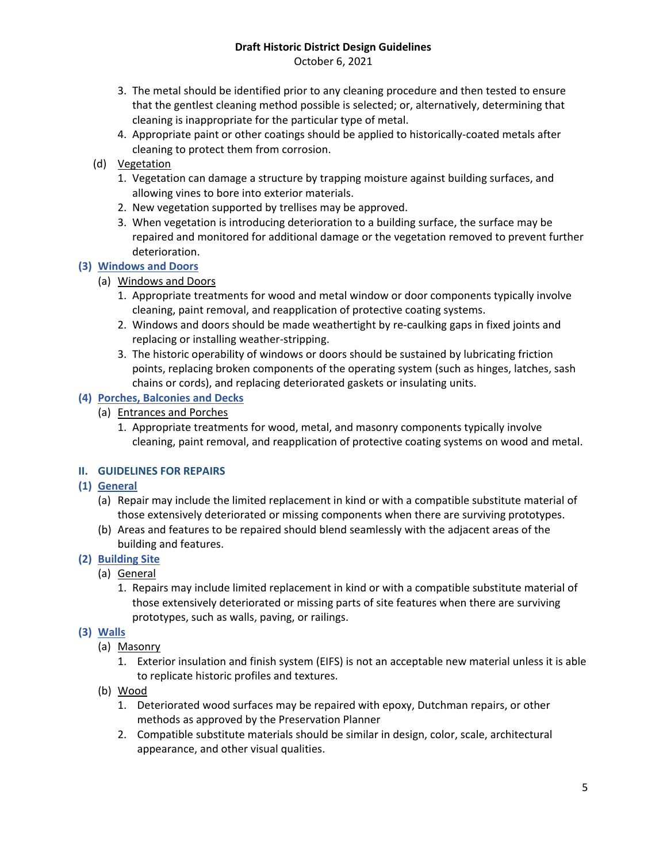October 6, 2021

- 3. The metal should be identified prior to any cleaning procedure and then tested to ensure that the gentlest cleaning method possible is selected; or, alternatively, determining that cleaning is inappropriate for the particular type of metal.
- 4. Appropriate paint or other coatings should be applied to historically-coated metals after cleaning to protect them from corrosion.
- (d) Vegetation
	- 1. Vegetation can damage a structure by trapping moisture against building surfaces, and allowing vines to bore into exterior materials.
	- 2. New vegetation supported by trellises may be approved.
	- 3. When vegetation is introducing deterioration to a building surface, the surface may be repaired and monitored for additional damage or the vegetation removed to prevent further deterioration.

# **(3) Windows and Doors**

- (a) Windows and Doors
	- 1. Appropriate treatments for wood and metal window or door components typically involve cleaning, paint removal, and reapplication of protective coating systems.
	- 2. Windows and doors should be made weathertight by re-caulking gaps in fixed joints and replacing or installing weather-stripping.
	- 3. The historic operability of windows or doors should be sustained by lubricating friction points, replacing broken components of the operating system (such as hinges, latches, sash chains or cords), and replacing deteriorated gaskets or insulating units.

# **(4) Porches, Balconies and Decks**

- (a) Entrances and Porches
	- 1. Appropriate treatments for wood, metal, and masonry components typically involve cleaning, paint removal, and reapplication of protective coating systems on wood and metal.

# **II. GUIDELINES FOR REPAIRS**

- **(1) General**
	- (a) Repair may include the limited replacement in kind or with a compatible substitute material of those extensively deteriorated or missing components when there are surviving prototypes.
	- (b) Areas and features to be repaired should blend seamlessly with the adjacent areas of the building and features.

# **(2) Building Site**

- (a) General
	- 1. Repairs may include limited replacement in kind or with a compatible substitute material of those extensively deteriorated or missing parts of site features when there are surviving prototypes, such as walls, paving, or railings.

# **(3) Walls**

- (a) Masonry
	- 1. Exterior insulation and finish system (EIFS) is not an acceptable new material unless it is able to replicate historic profiles and textures.
- (b) Wood
	- 1. Deteriorated wood surfaces may be repaired with epoxy, Dutchman repairs, or other methods as approved by the Preservation Planner
	- 2. Compatible substitute materials should be similar in design, color, scale, architectural appearance, and other visual qualities.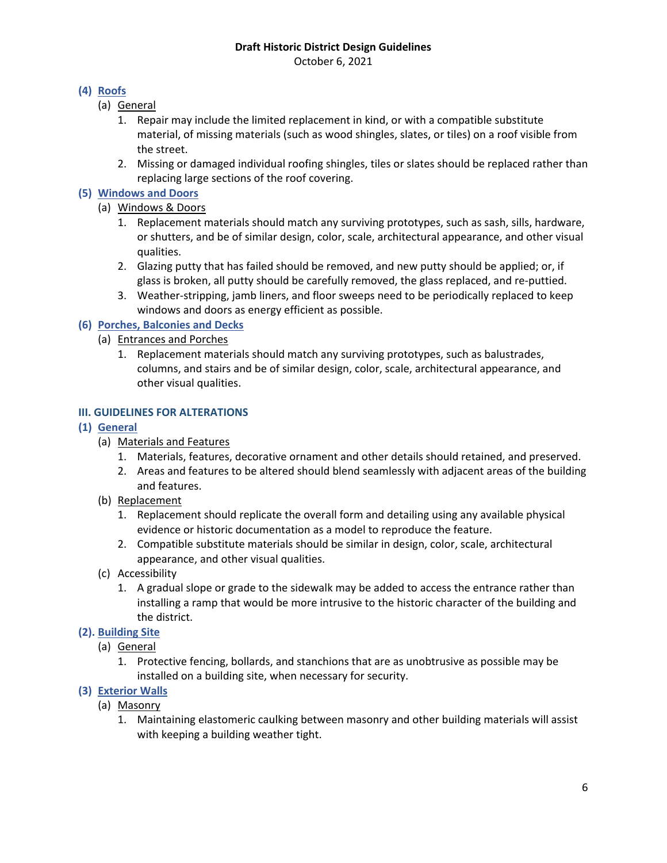October 6, 2021

# **(4) Roofs**

- (a) General
	- 1. Repair may include the limited replacement in kind, or with a compatible substitute material, of missing materials (such as wood shingles, slates, or tiles) on a roof visible from the street.
	- 2. Missing or damaged individual roofing shingles, tiles or slates should be replaced rather than replacing large sections of the roof covering.

# **(5) Windows and Doors**

- (a) Windows & Doors
	- 1. Replacement materials should match any surviving prototypes, such as sash, sills, hardware, or shutters, and be of similar design, color, scale, architectural appearance, and other visual qualities.
	- 2. Glazing putty that has failed should be removed, and new putty should be applied; or, if glass is broken, all putty should be carefully removed, the glass replaced, and re-puttied.
	- 3. Weather-stripping, jamb liners, and floor sweeps need to be periodically replaced to keep windows and doors as energy efficient as possible.

# **(6) Porches, Balconies and Decks**

- (a) Entrances and Porches
	- 1. Replacement materials should match any surviving prototypes, such as balustrades, columns, and stairs and be of similar design, color, scale, architectural appearance, and other visual qualities.

# **III. GUIDELINES FOR ALTERATIONS**

# **(1) General**

- (a) Materials and Features
	- 1. Materials, features, decorative ornament and other details should retained, and preserved.
	- 2. Areas and features to be altered should blend seamlessly with adjacent areas of the building and features.
- (b) Replacement
	- 1. Replacement should replicate the overall form and detailing using any available physical evidence or historic documentation as a model to reproduce the feature.
	- 2. Compatible substitute materials should be similar in design, color, scale, architectural appearance, and other visual qualities.
- (c) Accessibility
	- 1. A gradual slope or grade to the sidewalk may be added to access the entrance rather than installing a ramp that would be more intrusive to the historic character of the building and the district.

# **(2). Building Site**

- (a) General
	- 1. Protective fencing, bollards, and stanchions that are as unobtrusive as possible may be installed on a building site, when necessary for security.
- **(3) Exterior Walls**
	- (a) Masonry
		- 1. Maintaining elastomeric caulking between masonry and other building materials will assist with keeping a building weather tight.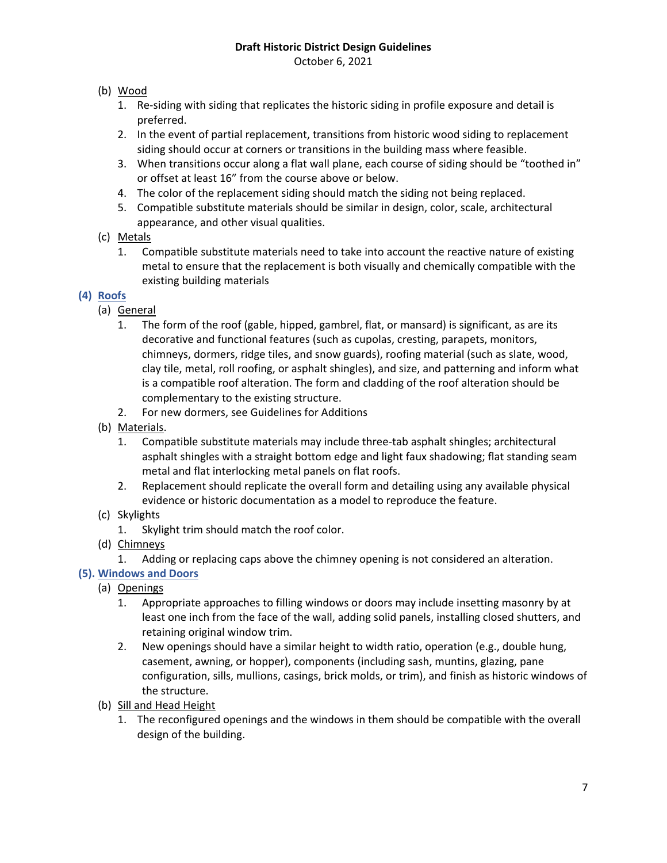October 6, 2021

# (b) Wood

- 1. Re-siding with siding that replicates the historic siding in profile exposure and detail is preferred.
- 2. In the event of partial replacement, transitions from historic wood siding to replacement siding should occur at corners or transitions in the building mass where feasible.
- 3. When transitions occur along a flat wall plane, each course of siding should be "toothed in" or offset at least 16" from the course above or below.
- 4. The color of the replacement siding should match the siding not being replaced.
- 5. Compatible substitute materials should be similar in design, color, scale, architectural appearance, and other visual qualities.

# (c) Metals

1. Compatible substitute materials need to take into account the reactive nature of existing metal to ensure that the replacement is both visually and chemically compatible with the existing building materials

# **(4) Roofs**

- (a) General
	- 1. The form of the roof (gable, hipped, gambrel, flat, or mansard) is significant, as are its decorative and functional features (such as cupolas, cresting, parapets, monitors, chimneys, dormers, ridge tiles, and snow guards), roofing material (such as slate, wood, clay tile, metal, roll roofing, or asphalt shingles), and size, and patterning and inform what is a compatible roof alteration. The form and cladding of the roof alteration should be complementary to the existing structure.
	- 2. For new dormers, see Guidelines for Additions
- (b) Materials.
	- 1. Compatible substitute materials may include three-tab asphalt shingles; architectural asphalt shingles with a straight bottom edge and light faux shadowing; flat standing seam metal and flat interlocking metal panels on flat roofs.
	- 2. Replacement should replicate the overall form and detailing using any available physical evidence or historic documentation as a model to reproduce the feature.
- (c) Skylights
	- 1. Skylight trim should match the roof color.
- (d) Chimneys
	- 1. Adding or replacing caps above the chimney opening is not considered an alteration.

# **(5). Windows and Doors**

- (a) Openings
	- 1. Appropriate approaches to filling windows or doors may include insetting masonry by at least one inch from the face of the wall, adding solid panels, installing closed shutters, and retaining original window trim.
	- 2. New openings should have a similar height to width ratio, operation (e.g., double hung, casement, awning, or hopper), components (including sash, muntins, glazing, pane configuration, sills, mullions, casings, brick molds, or trim), and finish as historic windows of the structure.
- (b) Sill and Head Height
	- 1. The reconfigured openings and the windows in them should be compatible with the overall design of the building.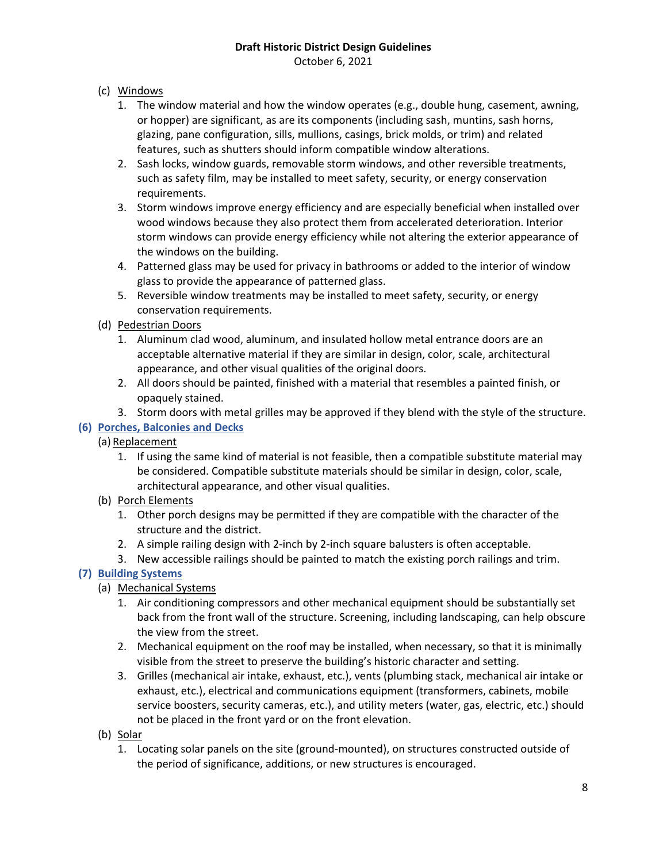October 6, 2021

# (c) Windows

- 1. The window material and how the window operates (e.g., double hung, casement, awning, or hopper) are significant, as are its components (including sash, muntins, sash horns, glazing, pane configuration, sills, mullions, casings, brick molds, or trim) and related features, such as shutters should inform compatible window alterations.
- 2. Sash locks, window guards, removable storm windows, and other reversible treatments, such as safety film, may be installed to meet safety, security, or energy conservation requirements.
- 3. Storm windows improve energy efficiency and are especially beneficial when installed over wood windows because they also protect them from accelerated deterioration. Interior storm windows can provide energy efficiency while not altering the exterior appearance of the windows on the building.
- 4. Patterned glass may be used for privacy in bathrooms or added to the interior of window glass to provide the appearance of patterned glass.
- 5. Reversible window treatments may be installed to meet safety, security, or energy conservation requirements.

# (d) Pedestrian Doors

- 1. Aluminum clad wood, aluminum, and insulated hollow metal entrance doors are an acceptable alternative material if they are similar in design, color, scale, architectural appearance, and other visual qualities of the original doors.
- 2. All doors should be painted, finished with a material that resembles a painted finish, or opaquely stained.
- 3. Storm doors with metal grilles may be approved if they blend with the style of the structure.

# **(6) Porches, Balconies and Decks**

# (a) Replacement

1. If using the same kind of material is not feasible, then a compatible substitute material may be considered. Compatible substitute materials should be similar in design, color, scale, architectural appearance, and other visual qualities.

# (b) Porch Elements

- 1. Other porch designs may be permitted if they are compatible with the character of the structure and the district.
- 2. A simple railing design with 2-inch by 2-inch square balusters is often acceptable.
- 3. New accessible railings should be painted to match the existing porch railings and trim.

# **(7) Building Systems**

- (a) Mechanical Systems
	- 1. Air conditioning compressors and other mechanical equipment should be substantially set back from the front wall of the structure. Screening, including landscaping, can help obscure the view from the street.
	- 2. Mechanical equipment on the roof may be installed, when necessary, so that it is minimally visible from the street to preserve the building's historic character and setting.
	- 3. Grilles (mechanical air intake, exhaust, etc.), vents (plumbing stack, mechanical air intake or exhaust, etc.), electrical and communications equipment (transformers, cabinets, mobile service boosters, security cameras, etc.), and utility meters (water, gas, electric, etc.) should not be placed in the front yard or on the front elevation.
- (b) Solar
	- 1. Locating solar panels on the site (ground-mounted), on structures constructed outside of the period of significance, additions, or new structures is encouraged.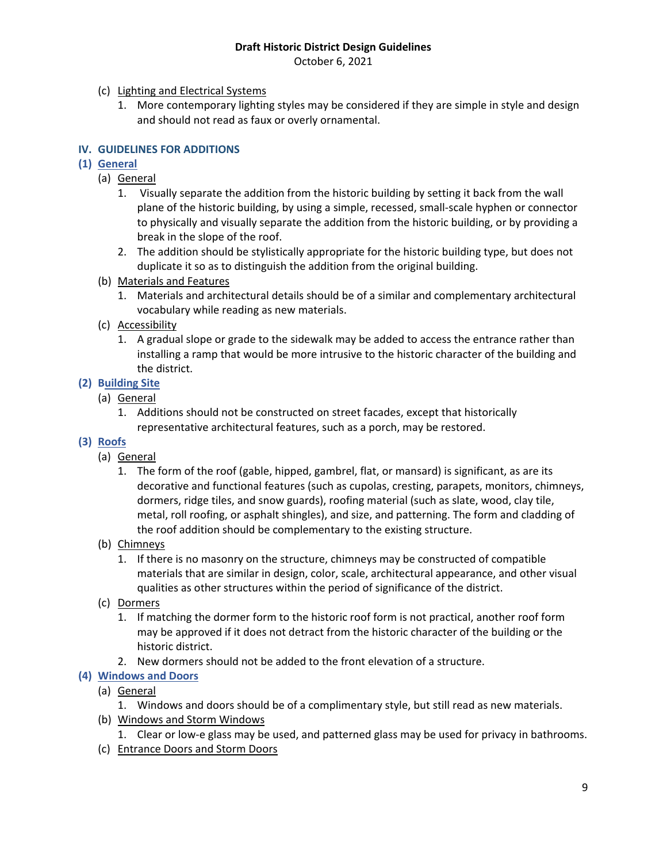October 6, 2021

- (c) Lighting and Electrical Systems
	- 1. More contemporary lighting styles may be considered if they are simple in style and design and should not read as faux or overly ornamental.

# **IV. GUIDELINES FOR ADDITIONS**

# **(1) General**

- (a) General
	- 1. Visually separate the addition from the historic building by setting it back from the wall plane of the historic building, by using a simple, recessed, small-scale hyphen or connector to physically and visually separate the addition from the historic building, or by providing a break in the slope of the roof.
	- 2. The addition should be stylistically appropriate for the historic building type, but does not duplicate it so as to distinguish the addition from the original building.
- (b) Materials and Features
	- 1. Materials and architectural details should be of a similar and complementary architectural vocabulary while reading as new materials.
- (c) Accessibility
	- 1. A gradual slope or grade to the sidewalk may be added to access the entrance rather than installing a ramp that would be more intrusive to the historic character of the building and the district.

# **(2) Building Site**

- (a) General
	- 1. Additions should not be constructed on street facades, except that historically representative architectural features, such as a porch, may be restored.
- **(3) Roofs**
	- (a) General
		- 1. The form of the roof (gable, hipped, gambrel, flat, or mansard) is significant, as are its decorative and functional features (such as cupolas, cresting, parapets, monitors, chimneys, dormers, ridge tiles, and snow guards), roofing material (such as slate, wood, clay tile, metal, roll roofing, or asphalt shingles), and size, and patterning. The form and cladding of the roof addition should be complementary to the existing structure.
	- (b) Chimneys
		- 1. If there is no masonry on the structure, chimneys may be constructed of compatible materials that are similar in design, color, scale, architectural appearance, and other visual qualities as other structures within the period of significance of the district.
	- (c) Dormers
		- 1. If matching the dormer form to the historic roof form is not practical, another roof form may be approved if it does not detract from the historic character of the building or the historic district.
		- 2. New dormers should not be added to the front elevation of a structure.

# **(4) Windows and Doors**

- (a) General
	- 1. Windows and doors should be of a complimentary style, but still read as new materials.
- (b) Windows and Storm Windows
	- 1. Clear or low-e glass may be used, and patterned glass may be used for privacy in bathrooms.
- (c) Entrance Doors and Storm Doors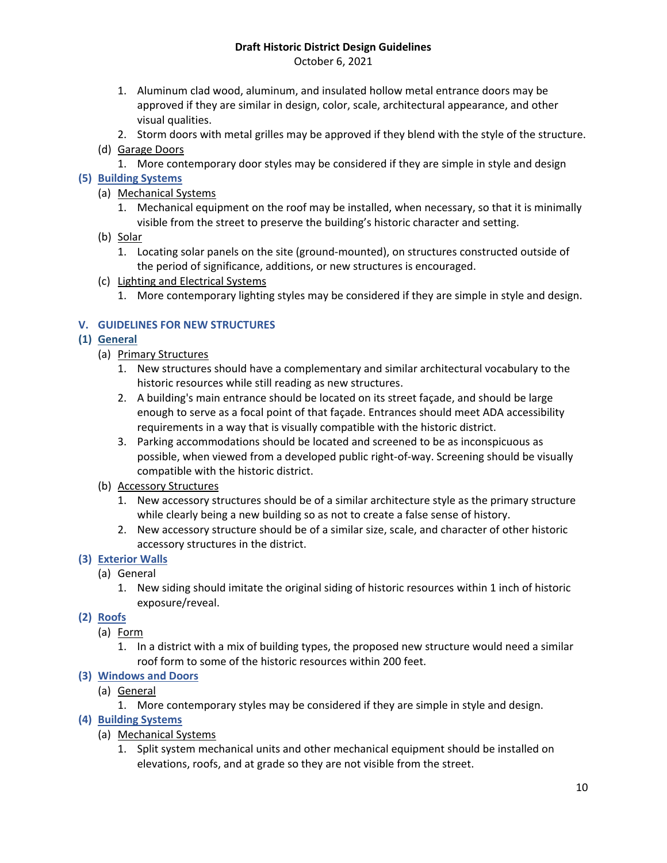October 6, 2021

- 1. Aluminum clad wood, aluminum, and insulated hollow metal entrance doors may be approved if they are similar in design, color, scale, architectural appearance, and other visual qualities.
- 2. Storm doors with metal grilles may be approved if they blend with the style of the structure.
- (d) Garage Doors
	- 1. More contemporary door styles may be considered if they are simple in style and design

# **(5) Building Systems**

- (a) Mechanical Systems
	- 1. Mechanical equipment on the roof may be installed, when necessary, so that it is minimally visible from the street to preserve the building's historic character and setting.
- (b) Solar
	- 1. Locating solar panels on the site (ground-mounted), on structures constructed outside of the period of significance, additions, or new structures is encouraged.
- (c) Lighting and Electrical Systems
	- 1. More contemporary lighting styles may be considered if they are simple in style and design.

# **V. GUIDELINES FOR NEW STRUCTURES**

# **(1) General**

- (a) Primary Structures
	- 1. New structures should have a complementary and similar architectural vocabulary to the historic resources while still reading as new structures.
	- 2. A building's main entrance should be located on its street façade, and should be large enough to serve as a focal point of that façade. Entrances should meet ADA accessibility requirements in a way that is visually compatible with the historic district.
	- 3. Parking accommodations should be located and screened to be as inconspicuous as possible, when viewed from a developed public right-of-way. Screening should be visually compatible with the historic district.
- (b) Accessory Structures
	- 1. New accessory structures should be of a similar architecture style as the primary structure while clearly being a new building so as not to create a false sense of history.
	- 2. New accessory structure should be of a similar size, scale, and character of other historic accessory structures in the district.

# **(3) Exterior Walls**

- (a) General
	- 1. New siding should imitate the original siding of historic resources within 1 inch of historic exposure/reveal.

# **(2) Roofs**

- (a) Form
	- 1. In a district with a mix of building types, the proposed new structure would need a similar roof form to some of the historic resources within 200 feet.

# **(3) Windows and Doors**

- (a) General
	- 1. More contemporary styles may be considered if they are simple in style and design.

# **(4) Building Systems**

- (a) Mechanical Systems
	- 1. Split system mechanical units and other mechanical equipment should be installed on elevations, roofs, and at grade so they are not visible from the street.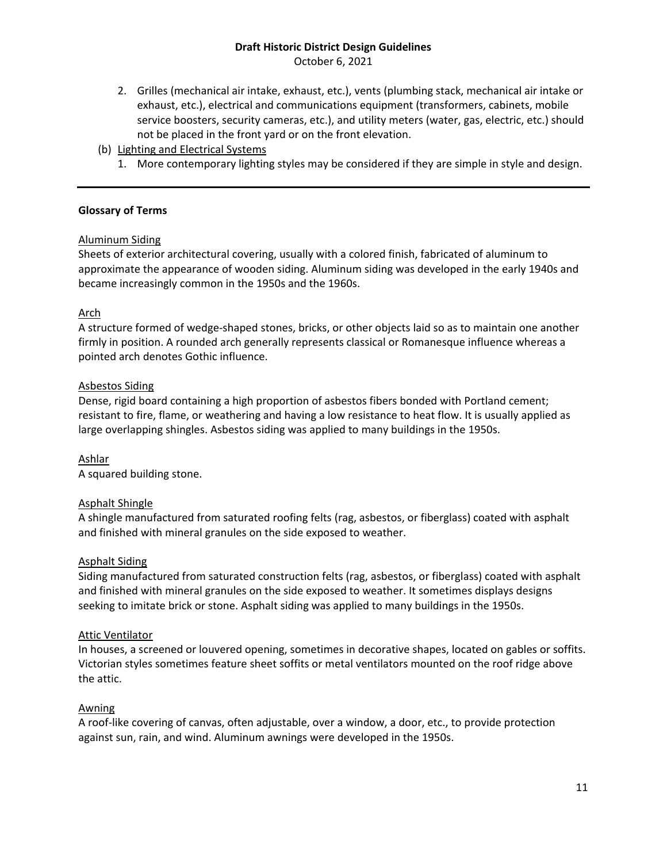October 6, 2021

- 2. Grilles (mechanical air intake, exhaust, etc.), vents (plumbing stack, mechanical air intake or exhaust, etc.), electrical and communications equipment (transformers, cabinets, mobile service boosters, security cameras, etc.), and utility meters (water, gas, electric, etc.) should not be placed in the front yard or on the front elevation.
- (b) Lighting and Electrical Systems
	- 1. More contemporary lighting styles may be considered if they are simple in style and design.

## **Glossary of Terms**

## Aluminum Siding

Sheets of exterior architectural covering, usually with a colored finish, fabricated of aluminum to approximate the appearance of wooden siding. Aluminum siding was developed in the early 1940s and became increasingly common in the 1950s and the 1960s.

#### Arch

A structure formed of wedge-shaped stones, bricks, or other objects laid so as to maintain one another firmly in position. A rounded arch generally represents classical or Romanesque influence whereas a pointed arch denotes Gothic influence.

#### Asbestos Siding

Dense, rigid board containing a high proportion of asbestos fibers bonded with Portland cement; resistant to fire, flame, or weathering and having a low resistance to heat flow. It is usually applied as large overlapping shingles. Asbestos siding was applied to many buildings in the 1950s.

Ashlar A squared building stone.

## Asphalt Shingle

A shingle manufactured from saturated roofing felts (rag, asbestos, or fiberglass) coated with asphalt and finished with mineral granules on the side exposed to weather.

## Asphalt Siding

Siding manufactured from saturated construction felts (rag, asbestos, or fiberglass) coated with asphalt and finished with mineral granules on the side exposed to weather. It sometimes displays designs seeking to imitate brick or stone. Asphalt siding was applied to many buildings in the 1950s.

## Attic Ventilator

In houses, a screened or louvered opening, sometimes in decorative shapes, located on gables or soffits. Victorian styles sometimes feature sheet soffits or metal ventilators mounted on the roof ridge above the attic.

## **Awning**

A roof-like covering of canvas, often adjustable, over a window, a door, etc., to provide protection against sun, rain, and wind. Aluminum awnings were developed in the 1950s.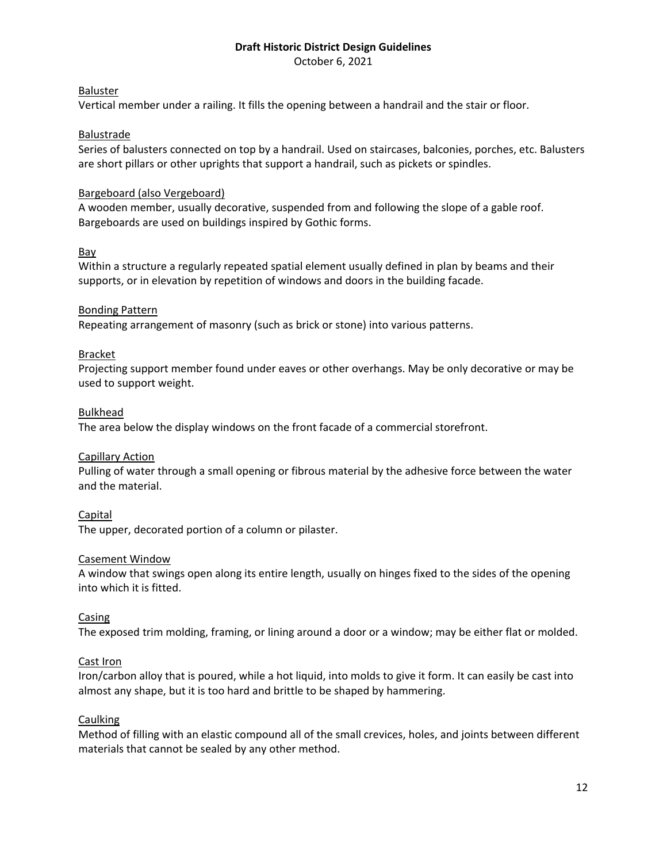October 6, 2021

## Baluster

Vertical member under a railing. It fills the opening between a handrail and the stair or floor.

## Balustrade

Series of balusters connected on top by a handrail. Used on staircases, balconies, porches, etc. Balusters are short pillars or other uprights that support a handrail, such as pickets or spindles.

# Bargeboard (also Vergeboard)

A wooden member, usually decorative, suspended from and following the slope of a gable roof. Bargeboards are used on buildings inspired by Gothic forms.

## Bay

Within a structure a regularly repeated spatial element usually defined in plan by beams and their supports, or in elevation by repetition of windows and doors in the building facade.

## Bonding Pattern

Repeating arrangement of masonry (such as brick or stone) into various patterns.

## **Bracket**

Projecting support member found under eaves or other overhangs. May be only decorative or may be used to support weight.

## Bulkhead

The area below the display windows on the front facade of a commercial storefront.

## Capillary Action

Pulling of water through a small opening or fibrous material by the adhesive force between the water and the material.

**Capital** 

The upper, decorated portion of a column or pilaster.

## Casement Window

A window that swings open along its entire length, usually on hinges fixed to the sides of the opening into which it is fitted.

## Casing

The exposed trim molding, framing, or lining around a door or a window; may be either flat or molded.

## Cast Iron

Iron/carbon alloy that is poured, while a hot liquid, into molds to give it form. It can easily be cast into almost any shape, but it is too hard and brittle to be shaped by hammering.

## Caulking

Method of filling with an elastic compound all of the small crevices, holes, and joints between different materials that cannot be sealed by any other method.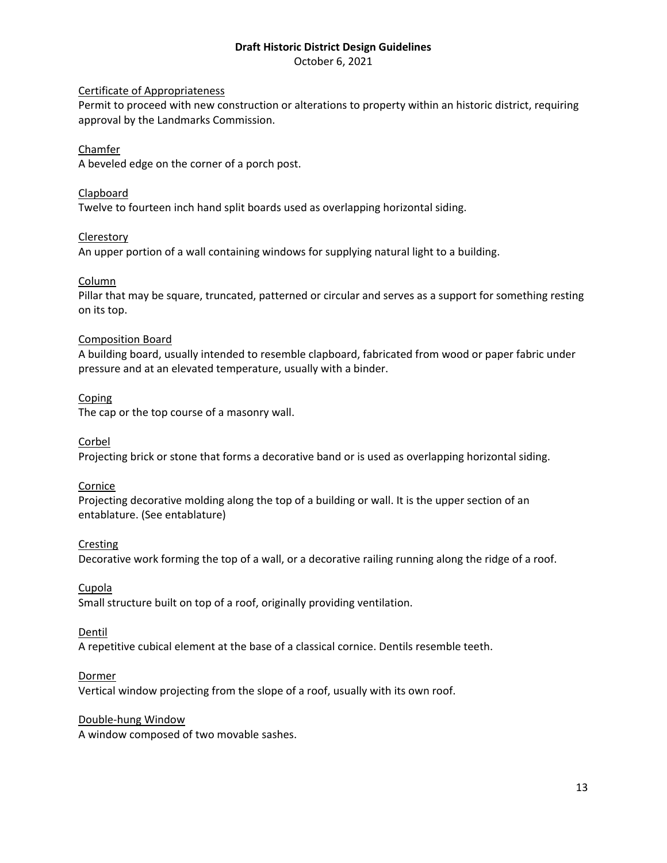October 6, 2021

#### Certificate of Appropriateness

Permit to proceed with new construction or alterations to property within an historic district, requiring approval by the Landmarks Commission.

#### Chamfer

A beveled edge on the corner of a porch post.

## Clapboard

Twelve to fourteen inch hand split boards used as overlapping horizontal siding.

#### **Clerestory**

An upper portion of a wall containing windows for supplying natural light to a building.

## Column

Pillar that may be square, truncated, patterned or circular and serves as a support for something resting on its top.

## Composition Board

A building board, usually intended to resemble clapboard, fabricated from wood or paper fabric under pressure and at an elevated temperature, usually with a binder.

#### **Coping**

The cap or the top course of a masonry wall.

#### Corbel

Projecting brick or stone that forms a decorative band or is used as overlapping horizontal siding.

## Cornice

Projecting decorative molding along the top of a building or wall. It is the upper section of an entablature. (See entablature)

#### **Cresting**

Decorative work forming the top of a wall, or a decorative railing running along the ridge of a roof.

#### Cupola

Small structure built on top of a roof, originally providing ventilation.

#### Dentil

A repetitive cubical element at the base of a classical cornice. Dentils resemble teeth.

## Dormer

Vertical window projecting from the slope of a roof, usually with its own roof.

#### Double-hung Window

A window composed of two movable sashes.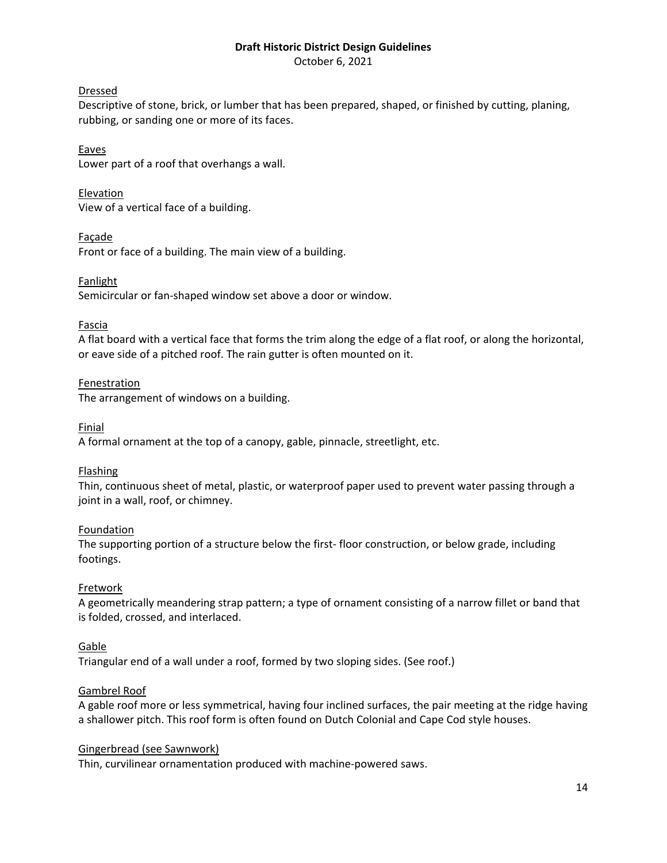October 6, 2021

# Dressed

Descriptive of stone, brick, or lumber that has been prepared, shaped, or finished by cutting, planing, rubbing, or sanding one or more of its faces.

Eaves Lower part of a roof that overhangs a wall.

Elevation View of a vertical face of a building.

Façade Front or face of a building. The main view of a building.

Fanlight

Semicircular or fan-shaped window set above a door or window.

## Fascia

A flat board with a vertical face that forms the trim along the edge of a flat roof, or along the horizontal, or eave side of a pitched roof. The rain gutter is often mounted on it.

## **Fenestration**

The arrangement of windows on a building.

Finial

A formal ornament at the top of a canopy, gable, pinnacle, streetlight, etc.

# Flashing

Thin, continuous sheet of metal, plastic, or waterproof paper used to prevent water passing through a joint in a wall, roof, or chimney.

## **Foundation**

The supporting portion of a structure below the first- floor construction, or below grade, including footings.

# Fretwork

A geometrically meandering strap pattern; a type of ornament consisting of a narrow fillet or band that is folded, crossed, and interlaced.

# Gable

Triangular end of a wall under a roof, formed by two sloping sides. (See roof.)

# Gambrel Roof

A gable roof more or less symmetrical, having four inclined surfaces, the pair meeting at the ridge having a shallower pitch. This roof form is often found on Dutch Colonial and Cape Cod style houses.

## Gingerbread (see Sawnwork)

Thin, curvilinear ornamentation produced with machine-powered saws.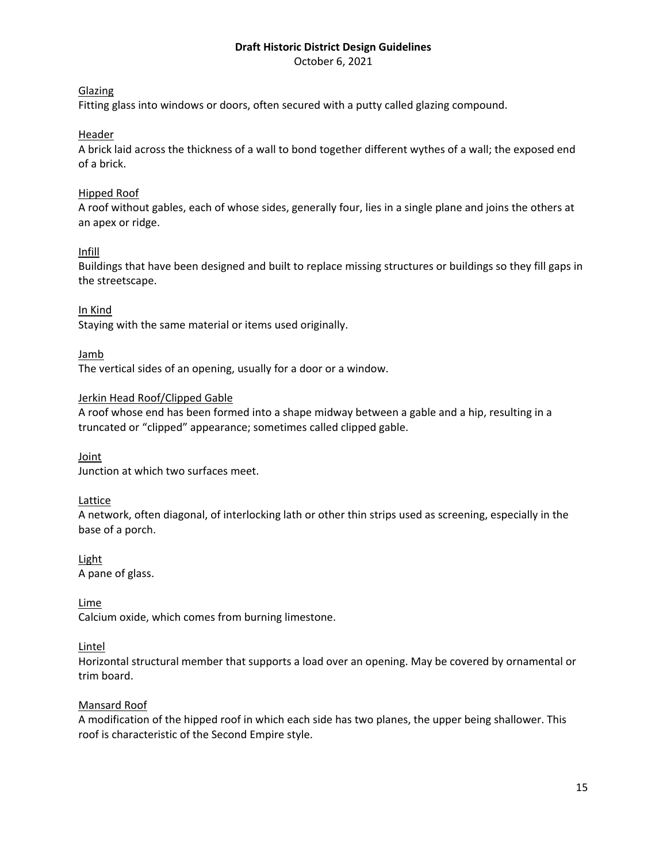October 6, 2021

## Glazing

Fitting glass into windows or doors, often secured with a putty called glazing compound.

## Header

A brick laid across the thickness of a wall to bond together different wythes of a wall; the exposed end of a brick.

## Hipped Roof

A roof without gables, each of whose sides, generally four, lies in a single plane and joins the others at an apex or ridge.

## Infill

Buildings that have been designed and built to replace missing structures or buildings so they fill gaps in the streetscape.

## In Kind

Staying with the same material or items used originally.

## Jamb

The vertical sides of an opening, usually for a door or a window.

## Jerkin Head Roof/Clipped Gable

A roof whose end has been formed into a shape midway between a gable and a hip, resulting in a truncated or "clipped" appearance; sometimes called clipped gable.

# Joint

Junction at which two surfaces meet.

## Lattice

A network, often diagonal, of interlocking lath or other thin strips used as screening, especially in the base of a porch.

# Light

A pane of glass.

## Lime

Calcium oxide, which comes from burning limestone.

# Lintel

Horizontal structural member that supports a load over an opening. May be covered by ornamental or trim board.

## Mansard Roof

A modification of the hipped roof in which each side has two planes, the upper being shallower. This roof is characteristic of the Second Empire style.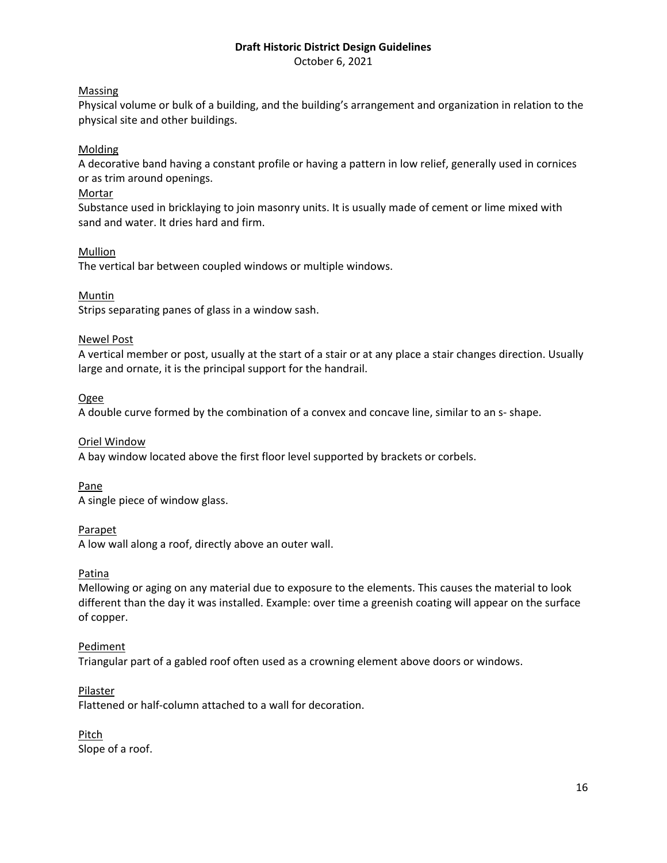October 6, 2021

# Massing

Physical volume or bulk of a building, and the building's arrangement and organization in relation to the physical site and other buildings.

# Molding

A decorative band having a constant profile or having a pattern in low relief, generally used in cornices or as trim around openings.

## Mortar

Substance used in bricklaying to join masonry units. It is usually made of cement or lime mixed with sand and water. It dries hard and firm.

## Mullion

The vertical bar between coupled windows or multiple windows.

## Muntin

Strips separating panes of glass in a window sash.

## Newel Post

A vertical member or post, usually at the start of a stair or at any place a stair changes direction. Usually large and ornate, it is the principal support for the handrail.

## Ogee

A double curve formed by the combination of a convex and concave line, similar to an s- shape.

## Oriel Window

A bay window located above the first floor level supported by brackets or corbels.

## Pane

A single piece of window glass.

## Parapet

A low wall along a roof, directly above an outer wall.

## Patina

Mellowing or aging on any material due to exposure to the elements. This causes the material to look different than the day it was installed. Example: over time a greenish coating will appear on the surface of copper.

## Pediment

Triangular part of a gabled roof often used as a crowning element above doors or windows.

## Pilaster

Flattened or half-column attached to a wall for decoration.

Pitch Slope of a roof.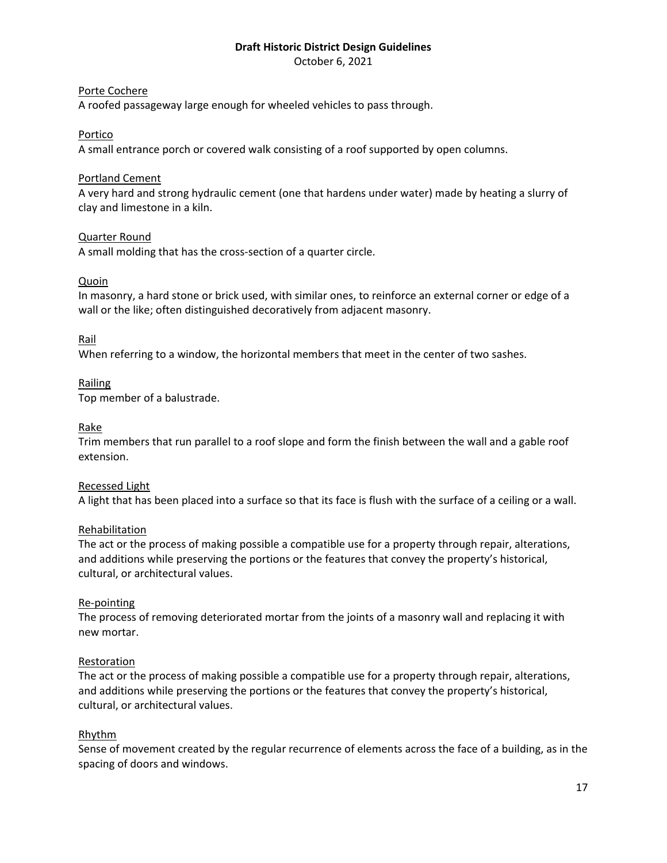October 6, 2021

## Porte Cochere

A roofed passageway large enough for wheeled vehicles to pass through.

## Portico

A small entrance porch or covered walk consisting of a roof supported by open columns.

## Portland Cement

A very hard and strong hydraulic cement (one that hardens under water) made by heating a slurry of clay and limestone in a kiln.

## Quarter Round

A small molding that has the cross-section of a quarter circle.

## Quoin

In masonry, a hard stone or brick used, with similar ones, to reinforce an external corner or edge of a wall or the like; often distinguished decoratively from adjacent masonry.

## Rail

When referring to a window, the horizontal members that meet in the center of two sashes.

## Railing

Top member of a balustrade.

## Rake

Trim members that run parallel to a roof slope and form the finish between the wall and a gable roof extension.

## Recessed Light

A light that has been placed into a surface so that its face is flush with the surface of a ceiling or a wall.

## Rehabilitation

The act or the process of making possible a compatible use for a property through repair, alterations, and additions while preserving the portions or the features that convey the property's historical, cultural, or architectural values.

## Re-pointing

The process of removing deteriorated mortar from the joints of a masonry wall and replacing it with new mortar.

## Restoration

The act or the process of making possible a compatible use for a property through repair, alterations, and additions while preserving the portions or the features that convey the property's historical, cultural, or architectural values.

# Rhythm

Sense of movement created by the regular recurrence of elements across the face of a building, as in the spacing of doors and windows.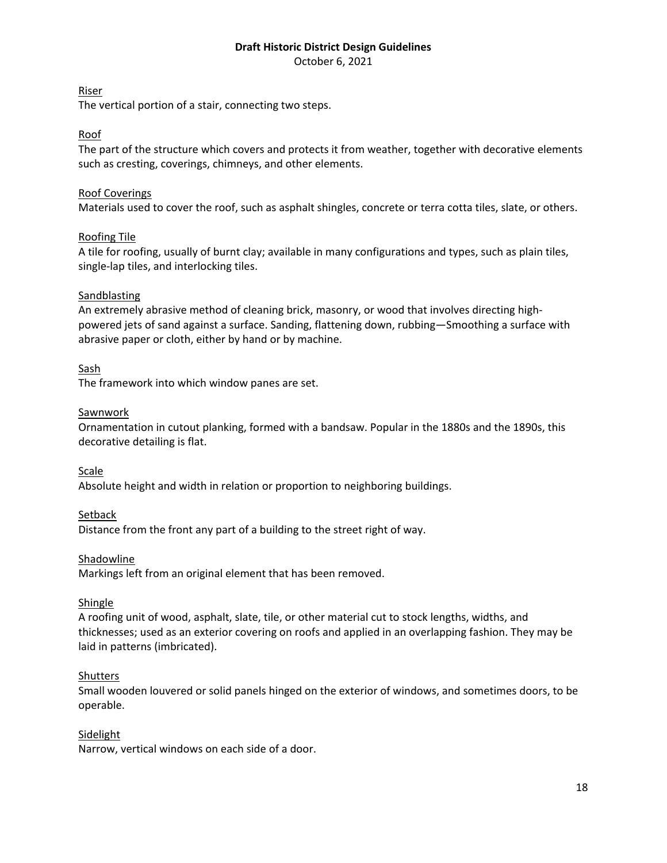October 6, 2021

# Riser

The vertical portion of a stair, connecting two steps.

# Roof

The part of the structure which covers and protects it from weather, together with decorative elements such as cresting, coverings, chimneys, and other elements.

# Roof Coverings

Materials used to cover the roof, such as asphalt shingles, concrete or terra cotta tiles, slate, or others.

## Roofing Tile

A tile for roofing, usually of burnt clay; available in many configurations and types, such as plain tiles, single-lap tiles, and interlocking tiles.

## Sandblasting

An extremely abrasive method of cleaning brick, masonry, or wood that involves directing highpowered jets of sand against a surface. Sanding, flattening down, rubbing—Smoothing a surface with abrasive paper or cloth, either by hand or by machine.

## Sash

The framework into which window panes are set.

## **Sawnwork**

Ornamentation in cutout planking, formed with a bandsaw. Popular in the 1880s and the 1890s, this decorative detailing is flat.

Scale

Absolute height and width in relation or proportion to neighboring buildings.

## **Setback**

Distance from the front any part of a building to the street right of way.

## Shadowline

Markings left from an original element that has been removed.

## Shingle

A roofing unit of wood, asphalt, slate, tile, or other material cut to stock lengths, widths, and thicknesses; used as an exterior covering on roofs and applied in an overlapping fashion. They may be laid in patterns (imbricated).

## **Shutters**

Small wooden louvered or solid panels hinged on the exterior of windows, and sometimes doors, to be operable.

## Sidelight

Narrow, vertical windows on each side of a door.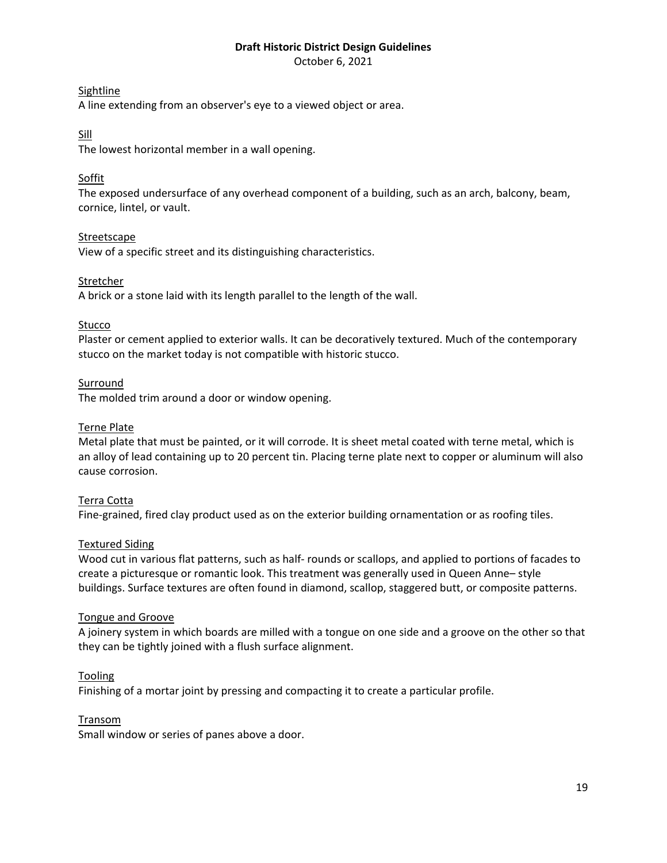October 6, 2021

## Sightline

A line extending from an observer's eye to a viewed object or area.

# Sill

The lowest horizontal member in a wall opening.

# Soffit

The exposed undersurface of any overhead component of a building, such as an arch, balcony, beam, cornice, lintel, or vault.

## Streetscape

View of a specific street and its distinguishing characteristics.

## Stretcher

A brick or a stone laid with its length parallel to the length of the wall.

## Stucco

Plaster or cement applied to exterior walls. It can be decoratively textured. Much of the contemporary stucco on the market today is not compatible with historic stucco.

## **Surround**

The molded trim around a door or window opening.

## Terne Plate

Metal plate that must be painted, or it will corrode. It is sheet metal coated with terne metal, which is an alloy of lead containing up to 20 percent tin. Placing terne plate next to copper or aluminum will also cause corrosion.

## Terra Cotta

Fine-grained, fired clay product used as on the exterior building ornamentation or as roofing tiles.

## Textured Siding

Wood cut in various flat patterns, such as half- rounds or scallops, and applied to portions of facades to create a picturesque or romantic look. This treatment was generally used in Queen Anne– style buildings. Surface textures are often found in diamond, scallop, staggered butt, or composite patterns.

## Tongue and Groove

A joinery system in which boards are milled with a tongue on one side and a groove on the other so that they can be tightly joined with a flush surface alignment.

## Tooling

Finishing of a mortar joint by pressing and compacting it to create a particular profile.

## Transom

Small window or series of panes above a door.